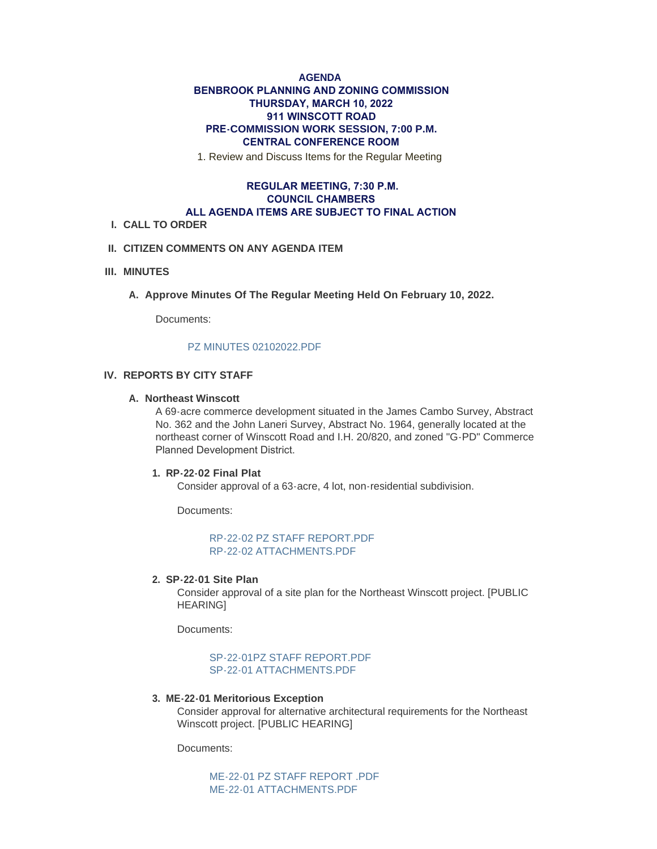# **AGENDA BENBROOK PLANNING AND ZONING COMMISSION THURSDAY, MARCH 10, 2022 911 WINSCOTT ROAD PRE-COMMISSION WORK SESSION, 7:00 P.M. CENTRAL CONFERENCE ROOM**

1. Review and Discuss Items for the Regular Meeting

# **REGULAR MEETING, 7:30 P.M. COUNCIL CHAMBERS ALL AGENDA ITEMS ARE SUBJECT TO FINAL ACTION**

#### **CALL TO ORDER I.**

## **CITIZEN COMMENTS ON ANY AGENDA ITEM II.**

### **MINUTES III.**

A. Approve Minutes Of The Regular Meeting Held On February 10, 2022.

Documents:

#### [PZ MINUTES 02102022.PDF](http://www.benbrook-tx.gov/AgendaCenter/ViewFile/Item/6586?fileID=5060)

## **REPORTS BY CITY STAFF IV.**

#### **Northeast Winscott A.**

A 69-acre commerce development situated in the James Cambo Survey, Abstract No. 362 and the John Laneri Survey, Abstract No. 1964, generally located at the northeast corner of Winscott Road and I.H. 20/820, and zoned "G-PD" Commerce Planned Development District.

### **RP-22-02 Final Plat 1.**

Consider approval of a 63-acre, 4 lot, non-residential subdivision.

Documents:

[RP-22-02 PZ STAFF REPORT.PDF](http://www.benbrook-tx.gov/AgendaCenter/ViewFile/Item/6588?fileID=5061) [RP-22-02 ATTACHMENTS.PDF](http://www.benbrook-tx.gov/AgendaCenter/ViewFile/Item/6588?fileID=5062)

#### **SP-22-01 Site Plan 2.**

Consider approval of a site plan for the Northeast Winscott project. [PUBLIC HEARING]

Documents:

### SP-22-01PZ STAFF REPORT PDF [SP-22-01 ATTACHMENTS.PDF](http://www.benbrook-tx.gov/AgendaCenter/ViewFile/Item/6589?fileID=5064)

#### **ME-22-01 Meritorious Exception 3.**

Consider approval for alternative architectural requirements for the Northeast Winscott project. [PUBLIC HEARING]

Documents:

MF-22-01 PZ STAFF REPORT PDF [ME-22-01 ATTACHMENTS.PDF](http://www.benbrook-tx.gov/AgendaCenter/ViewFile/Item/6590?fileID=5066)